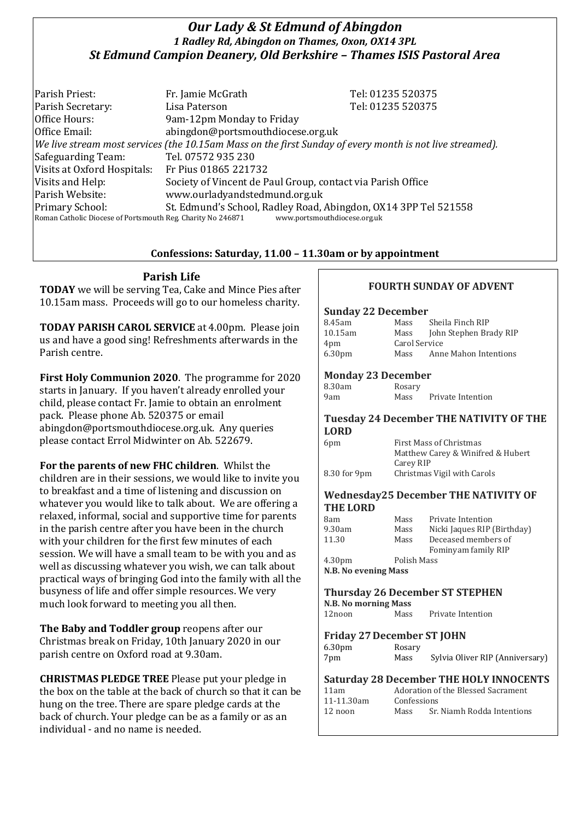# *Our Lady & St Edmund of Abingdon 1 Radley Rd, Abingdon on Thames, Oxon, OX14 3PL St Edmund Campion Deanery, Old Berkshire – Thames ISIS Pastoral Area*

Parish Priest: Fr. Jamie McGrath Tel: 01235 520375 Parish Secretary: Tel: 01235 520375 Office Hours: 9am-12pm Monday to Friday Office Email: abingdon@portsmouthdiocese.org.uk *We live stream most services (the 10.15am Mass on the first Sunday of every month is not live streamed).* Safeguarding Team: Tel. 07572 935 230 Visits at Oxford Hospitals: Fr Pius 01865 221732 Visits and Help: Society of Vincent de Paul Group, contact via Parish Office Parish Website: www.ourladyandstedmund.org.uk Primary School: St. Edmund's School, Radley Road, Abingdon, OX14 3PP Tel 521558 Roman Catholic Diocese of Portsmouth Reg. Charity No 246871 www.portsmouthdiocese.org.uk

## **Confessions: Saturday, 11.00 – 11.30am or by appointment**

**Parish Life**

**TODAY** we will be serving Tea, Cake and Mince Pies after 10.15am mass. Proceeds will go to our homeless charity.

**TODAY PARISH CAROL SERVICE** at 4.00pm. Please join us and have a good sing! Refreshments afterwards in the Parish centre.

**First Holy Communion 2020**. The programme for 2020 starts in January. If you haven't already enrolled your child, please contact Fr. Jamie to obtain an enrolment pack. Please phone Ab. 520375 or email abingdon@portsmouthdiocese.org.uk. Any queries please contact Errol Midwinter on Ab. 522679.

**For the parents of new FHC children**. Whilst the children are in their sessions, we would like to invite you to breakfast and a time of listening and discussion on whatever you would like to talk about. We are offering a relaxed, informal, social and supportive time for parents in the parish centre after you have been in the church with your children for the first few minutes of each session. We will have a small team to be with you and as well as discussing whatever you wish, we can talk about practical ways of bringing God into the family with all the busyness of life and offer simple resources. We very much look forward to meeting you all then.

**The Baby and Toddler group** reopens after our Christmas break on Friday, 10th January 2020 in our parish centre on Oxford road at 9.30am.

**CHRISTMAS PLEDGE TREE** Please put your pledge in the box on the table at the back of church so that it can be hung on the tree. There are spare pledge cards at the back of church. Your pledge can be as a family or as an individual - and no name is needed.

## **FOURTH SUNDAY OF ADVENT**

#### **Sunday 22 December**

| 8.45am             | Mass          | Sheila Finch RIP       |
|--------------------|---------------|------------------------|
| 10.15am            | Mass          | John Stephen Brady RIP |
| 4pm                | Carol Service |                        |
| 6.30 <sub>pm</sub> | Mass          | Anne Mahon Intentions  |

## **Monday 23 December**

| 8.30am | Rosary |                   |
|--------|--------|-------------------|
| 9am    | Mass   | Private Intention |

#### **Tuesday 24 December THE NATIVITY OF THE LORD**

| 6pm          | First Mass of Christmas           |
|--------------|-----------------------------------|
|              | Matthew Carey & Winifred & Hubert |
|              | Carey RIP                         |
| 8.30 for 9pm | Christmas Vigil with Carols       |

#### **Wednesday25 December THE NATIVITY OF THE LORD**

| 8am                  | Mass        | Private Intention           |
|----------------------|-------------|-----------------------------|
| 9.30am               | Mass        | Nicki Jaques RIP (Birthday) |
| 11.30                | Mass        | Deceased members of         |
|                      |             | Fominyam family RIP         |
| 4.30 <sub>pm</sub>   | Polish Mass |                             |
| N.B. No evening Mass |             |                             |

## **Thursday 26 December ST STEPHEN**

**N.B. No morning Mass**

| 12noon | Mass | Private Intention |
|--------|------|-------------------|
|        |      |                   |

### **Friday 27December ST JOHN**

| 6.30 <sub>pm</sub> | Rosary |                                 |
|--------------------|--------|---------------------------------|
| 7pm                | Mass   | Sylvia Oliver RIP (Anniversary) |

### **Saturday 28 December THE HOLY INNOCENTS**

| 11am              | Adoration of the Blessed Sacrament |                            |
|-------------------|------------------------------------|----------------------------|
| 11-11.30am        | Confessions                        |                            |
| $12 \text{ noon}$ | Mass                               | Sr. Niamh Rodda Intentions |